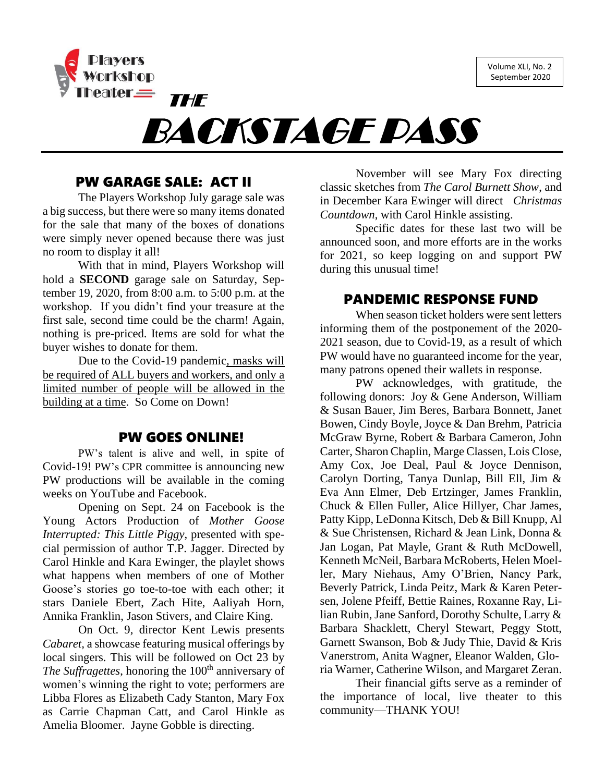Volume XLI, No. 2 September 2020



BACKSTAGE PASS

## PW GARAGE SALE: ACT II

The Players Workshop July garage sale was a big success, but there were so many items donated for the sale that many of the boxes of donations were simply never opened because there was just no room to display it all!

With that in mind, Players Workshop will hold a **SECOND** garage sale on Saturday, September 19, 2020, from 8:00 a.m. to 5:00 p.m. at the workshop. If you didn't find your treasure at the first sale, second time could be the charm! Again, nothing is pre-priced. Items are sold for what the buyer wishes to donate for them.

Due to the Covid-19 pandemic, masks will be required of ALL buyers and workers, and only a limited number of people will be allowed in the building at a time. So Come on Down!

#### PW GOES ONLINE!

PW's talent is alive and well, in spite of Covid-19! PW's CPR committee is announcing new PW productions will be available in the coming weeks on YouTube and Facebook.

Opening on Sept. 24 on Facebook is the Young Actors Production of *Mother Goose Interrupted: This Little Piggy*, presented with special permission of author T.P. Jagger. Directed by Carol Hinkle and Kara Ewinger, the playlet shows what happens when members of one of Mother Goose's stories go toe-to-toe with each other; it stars Daniele Ebert, Zach Hite, Aaliyah Horn, Annika Franklin, Jason Stivers, and Claire King.

On Oct. 9, director Kent Lewis presents *Cabaret,* a showcase featuring musical offerings by local singers. This will be followed on Oct 23 by *The Suffragettes*, honoring the 100<sup>th</sup> anniversary of women's winning the right to vote; performers are Libba Flores as Elizabeth Cady Stanton, Mary Fox as Carrie Chapman Catt, and Carol Hinkle as Amelia Bloomer. Jayne Gobble is directing.

November will see Mary Fox directing classic sketches from *The Carol Burnett Show*, and in December Kara Ewinger will direct *Christmas Countdown*, with Carol Hinkle assisting.

Specific dates for these last two will be announced soon, and more efforts are in the works for 2021, so keep logging on and support PW during this unusual time!

## PANDEMIC RESPONSE FUND

When season ticket holders were sent letters informing them of the postponement of the 2020- 2021 season, due to Covid-19, as a result of which PW would have no guaranteed income for the year, many patrons opened their wallets in response.

PW acknowledges, with gratitude, the following donors: Joy & Gene Anderson, William & Susan Bauer, Jim Beres, Barbara Bonnett, Janet Bowen, Cindy Boyle, Joyce & Dan Brehm, Patricia McGraw Byrne, Robert & Barbara Cameron, John Carter, Sharon Chaplin, Marge Classen, Lois Close, Amy Cox, Joe Deal, Paul & Joyce Dennison, Carolyn Dorting, Tanya Dunlap, Bill Ell, Jim & Eva Ann Elmer, Deb Ertzinger, James Franklin, Chuck & Ellen Fuller, Alice Hillyer, Char James, Patty Kipp, LeDonna Kitsch, Deb & Bill Knupp, Al & Sue Christensen, Richard & Jean Link, Donna & Jan Logan, Pat Mayle, Grant & Ruth McDowell, Kenneth McNeil, Barbara McRoberts, Helen Moeller, Mary Niehaus, Amy O'Brien, Nancy Park, Beverly Patrick, Linda Peitz, Mark & Karen Petersen, Jolene Pfeiff, Bettie Raines, Roxanne Ray, Lilian Rubin, Jane Sanford, Dorothy Schulte, Larry & Barbara Shacklett, Cheryl Stewart, Peggy Stott, Garnett Swanson, Bob & Judy Thie, David & Kris Vanerstrom, Anita Wagner, Eleanor Walden, Gloria Warner, Catherine Wilson, and Margaret Zeran.

Their financial gifts serve as a reminder of the importance of local, live theater to this community—THANK YOU!